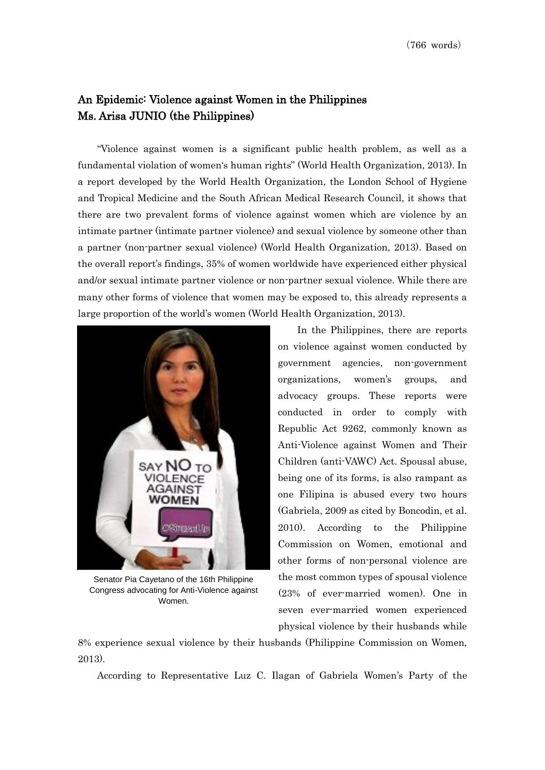## An Epidemic: Violence against Women in the Philippines Ms. Arisa JUNIO (the Philippines)

"Violence against women is a significant public health problem, as well as a fundamental violation of women's human rights" (World Health Organization, 2013). In a report developed by the World Health Organization, the London School of Hygiene and Tropical Medicine and the South African Medical Research Council, it shows that there are two prevalent forms of violence against women which are violence by an intimate partner (intimate partner violence) and sexual violence by someone other than a partner (non-partner sexual violence) (World Health Organization, 2013). Based on the overall report's findings, 35% of women worldwide have experienced either physical and/or sexual intimate partner violence or non-partner sexual violence. While there are many other forms of violence that women may be exposed to, this already represents a large proportion of the world's women (World Health Organization, 2013).



Senator Pia Cayetano of the 16th Philippine Congress advocating for Anti-Violence against Women.

In the Philippines, there are reports on violence against women conducted by government agencies, non-government organizations, women's groups, and advocacy groups. These reports were conducted in order to comply with Republic Act 9262, commonly known as Anti-Violence against Women and Their Children (anti-VAWC) Act. Spousal abuse, being one of its forms, is also rampant as one Filipina is abused every two hours (Gabriela, 2009 as cited by Boncodin, et al. 2010). According to the Philippine Commission on Women, emotional and other forms of non-personal violence are the most common types of spousal violence (23% of ever-married women). One in seven ever-married women experienced physical violence by their husbands while

8% experience sexual violence by their husbands (Philippine Commission on Women, 2013).

According to Representative Luz C. Ilagan of Gabriela Women's Party of the